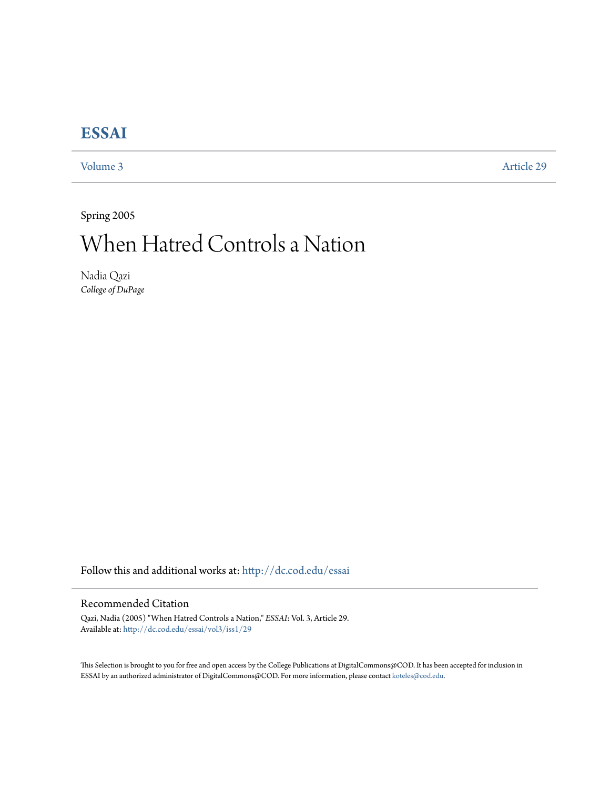## **[ESSAI](http://dc.cod.edu/essai?utm_source=dc.cod.edu%2Fessai%2Fvol3%2Fiss1%2F29&utm_medium=PDF&utm_campaign=PDFCoverPages)**

[Volume 3](http://dc.cod.edu/essai/vol3?utm_source=dc.cod.edu%2Fessai%2Fvol3%2Fiss1%2F29&utm_medium=PDF&utm_campaign=PDFCoverPages) [Article 29](http://dc.cod.edu/essai/vol3/iss1/29?utm_source=dc.cod.edu%2Fessai%2Fvol3%2Fiss1%2F29&utm_medium=PDF&utm_campaign=PDFCoverPages)

Spring 2005

## When Hatred Controls a Nation

Nadia Qazi *College of DuPage*

Follow this and additional works at: [http://dc.cod.edu/essai](http://dc.cod.edu/essai?utm_source=dc.cod.edu%2Fessai%2Fvol3%2Fiss1%2F29&utm_medium=PDF&utm_campaign=PDFCoverPages)

## Recommended Citation

Qazi, Nadia (2005) "When Hatred Controls a Nation," *ESSAI*: Vol. 3, Article 29. Available at: [http://dc.cod.edu/essai/vol3/iss1/29](http://dc.cod.edu/essai/vol3/iss1/29?utm_source=dc.cod.edu%2Fessai%2Fvol3%2Fiss1%2F29&utm_medium=PDF&utm_campaign=PDFCoverPages)

This Selection is brought to you for free and open access by the College Publications at DigitalCommons@COD. It has been accepted for inclusion in ESSAI by an authorized administrator of DigitalCommons@COD. For more information, please contact [koteles@cod.edu](mailto:koteles@cod.edu).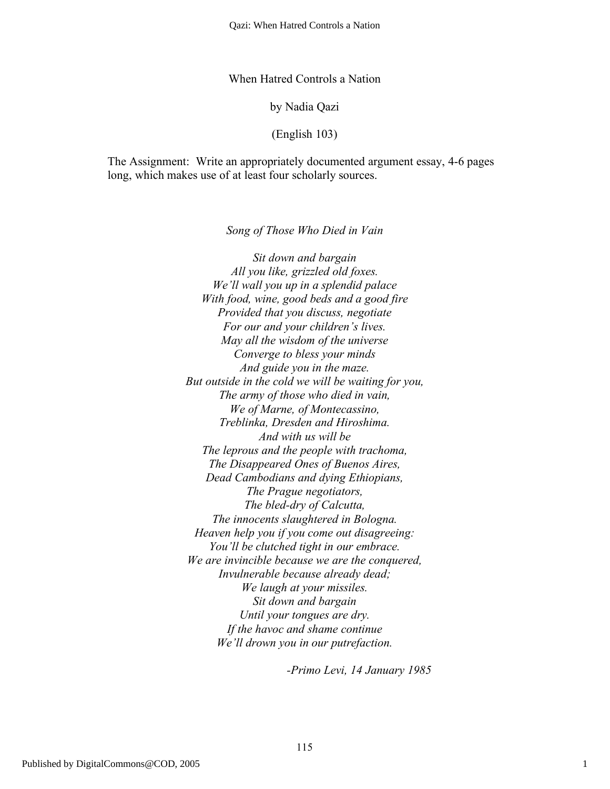When Hatred Controls a Nation

by Nadia Qazi

(English 103)

The Assignment: Write an appropriately documented argument essay, 4-6 pages long, which makes use of at least four scholarly sources.

*Song of Those Who Died in Vain*

*Sit down and bargain All you like, grizzled old foxes. We'll wall you up in a splendid palace With food, wine, good beds and a good fire Provided that you discuss, negotiate For our and your children's lives. May all the wisdom of the universe Converge to bless your minds And guide you in the maze. But outside in the cold we will be waiting for you, The army of those who died in vain, We of Marne, of Montecassino, Treblinka, Dresden and Hiroshima. And with us will be The leprous and the people with trachoma, The Disappeared Ones of Buenos Aires, Dead Cambodians and dying Ethiopians, The Prague negotiators, The bled-dry of Calcutta, The innocents slaughtered in Bologna. Heaven help you if you come out disagreeing: You'll be clutched tight in our embrace. We are invincible because we are the conquered, Invulnerable because already dead; We laugh at your missiles. Sit down and bargain Until your tongues are dry. If the havoc and shame continue We'll drown you in our putrefaction.*

*-Primo Levi, 14 January 1985*

1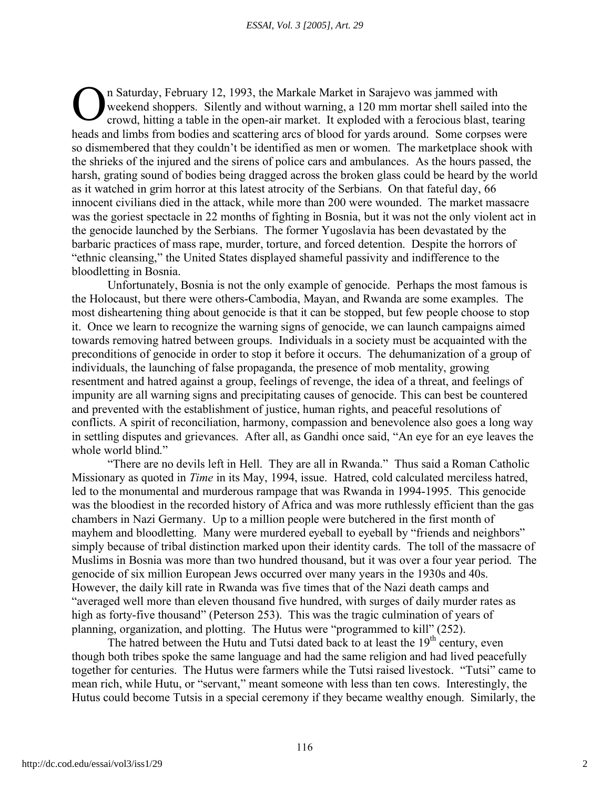n Saturday, February 12, 1993, the Markale Market in Sarajevo was jammed with weekend shoppers. Silently and without warning, a 120 mm mortar shell sailed into the crowd, hitting a table in the open-air market. It exploded with a ferocious blast, tearing heads and limbs from bodies and scattering arcs of blood for yards around. Some corpses were so dismembered that they couldn't be identified as men or women. The marketplace shook with the shrieks of the injured and the sirens of police cars and ambulances. As the hours passed, the harsh, grating sound of bodies being dragged across the broken glass could be heard by the world as it watched in grim horror at this latest atrocity of the Serbians. On that fateful day, 66 innocent civilians died in the attack, while more than 200 were wounded. The market massacre was the goriest spectacle in 22 months of fighting in Bosnia, but it was not the only violent act in the genocide launched by the Serbians. The former Yugoslavia has been devastated by the barbaric practices of mass rape, murder, torture, and forced detention. Despite the horrors of "ethnic cleansing," the United States displayed shameful passivity and indifference to the bloodletting in Bosnia. O

Unfortunately, Bosnia is not the only example of genocide. Perhaps the most famous is the Holocaust, but there were others-Cambodia, Mayan, and Rwanda are some examples. The most disheartening thing about genocide is that it can be stopped, but few people choose to stop it. Once we learn to recognize the warning signs of genocide, we can launch campaigns aimed towards removing hatred between groups. Individuals in a society must be acquainted with the preconditions of genocide in order to stop it before it occurs. The dehumanization of a group of individuals, the launching of false propaganda, the presence of mob mentality, growing resentment and hatred against a group, feelings of revenge, the idea of a threat, and feelings of impunity are all warning signs and precipitating causes of genocide. This can best be countered and prevented with the establishment of justice, human rights, and peaceful resolutions of conflicts. A spirit of reconciliation, harmony, compassion and benevolence also goes a long way in settling disputes and grievances. After all, as Gandhi once said, "An eye for an eye leaves the whole world blind."

"There are no devils left in Hell. They are all in Rwanda." Thus said a Roman Catholic Missionary as quoted in *Time* in its May, 1994, issue. Hatred, cold calculated merciless hatred, led to the monumental and murderous rampage that was Rwanda in 1994-1995. This genocide was the bloodiest in the recorded history of Africa and was more ruthlessly efficient than the gas chambers in Nazi Germany. Up to a million people were butchered in the first month of mayhem and bloodletting. Many were murdered eyeball to eyeball by "friends and neighbors" simply because of tribal distinction marked upon their identity cards. The toll of the massacre of Muslims in Bosnia was more than two hundred thousand, but it was over a four year period. The genocide of six million European Jews occurred over many years in the 1930s and 40s. However, the daily kill rate in Rwanda was five times that of the Nazi death camps and "averaged well more than eleven thousand five hundred, with surges of daily murder rates as high as forty-five thousand" (Peterson 253). This was the tragic culmination of years of planning, organization, and plotting. The Hutus were "programmed to kill" (252).

The hatred between the Hutu and Tutsi dated back to at least the  $19<sup>th</sup>$  century, even though both tribes spoke the same language and had the same religion and had lived peacefully together for centuries. The Hutus were farmers while the Tutsi raised livestock. "Tutsi" came to mean rich, while Hutu, or "servant," meant someone with less than ten cows. Interestingly, the Hutus could become Tutsis in a special ceremony if they became wealthy enough. Similarly, the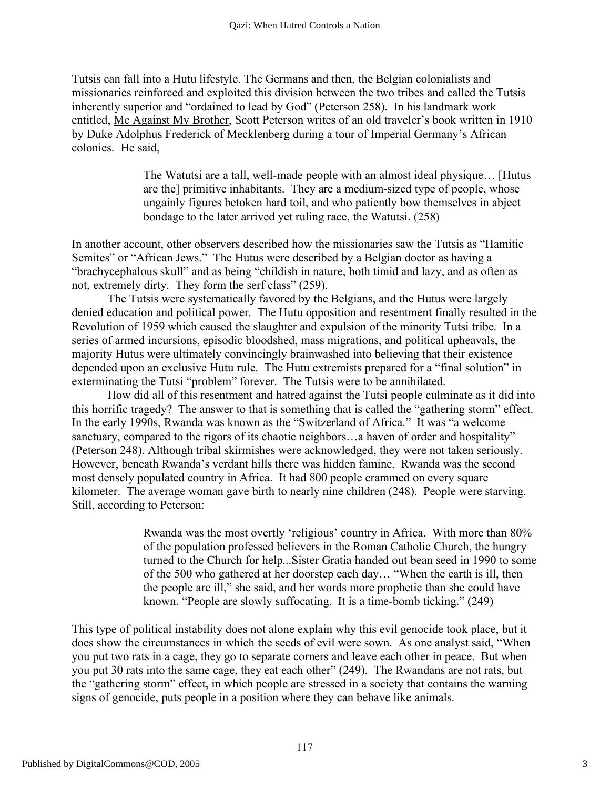Tutsis can fall into a Hutu lifestyle. The Germans and then, the Belgian colonialists and missionaries reinforced and exploited this division between the two tribes and called the Tutsis inherently superior and "ordained to lead by God" (Peterson 258). In his landmark work entitled, Me Against My Brother, Scott Peterson writes of an old traveler's book written in 1910 by Duke Adolphus Frederick of Mecklenberg during a tour of Imperial Germany's African colonies. He said,

> The Watutsi are a tall, well-made people with an almost ideal physique… [Hutus are the] primitive inhabitants. They are a medium-sized type of people, whose ungainly figures betoken hard toil, and who patiently bow themselves in abject bondage to the later arrived yet ruling race, the Watutsi. (258)

In another account, other observers described how the missionaries saw the Tutsis as "Hamitic Semites" or "African Jews." The Hutus were described by a Belgian doctor as having a "brachycephalous skull" and as being "childish in nature, both timid and lazy, and as often as not, extremely dirty. They form the serf class" (259).

The Tutsis were systematically favored by the Belgians, and the Hutus were largely denied education and political power. The Hutu opposition and resentment finally resulted in the Revolution of 1959 which caused the slaughter and expulsion of the minority Tutsi tribe. In a series of armed incursions, episodic bloodshed, mass migrations, and political upheavals, the majority Hutus were ultimately convincingly brainwashed into believing that their existence depended upon an exclusive Hutu rule. The Hutu extremists prepared for a "final solution" in exterminating the Tutsi "problem" forever. The Tutsis were to be annihilated.

How did all of this resentment and hatred against the Tutsi people culminate as it did into this horrific tragedy? The answer to that is something that is called the "gathering storm" effect. In the early 1990s, Rwanda was known as the "Switzerland of Africa." It was "a welcome sanctuary, compared to the rigors of its chaotic neighbors...a haven of order and hospitality" (Peterson 248). Although tribal skirmishes were acknowledged, they were not taken seriously. However, beneath Rwanda's verdant hills there was hidden famine. Rwanda was the second most densely populated country in Africa. It had 800 people crammed on every square kilometer. The average woman gave birth to nearly nine children (248). People were starving. Still, according to Peterson:

> Rwanda was the most overtly 'religious' country in Africa. With more than 80% of the population professed believers in the Roman Catholic Church, the hungry turned to the Church for help...Sister Gratia handed out bean seed in 1990 to some of the 500 who gathered at her doorstep each day… "When the earth is ill, then the people are ill," she said, and her words more prophetic than she could have known. "People are slowly suffocating. It is a time-bomb ticking." (249)

This type of political instability does not alone explain why this evil genocide took place, but it does show the circumstances in which the seeds of evil were sown. As one analyst said, "When you put two rats in a cage, they go to separate corners and leave each other in peace. But when you put 30 rats into the same cage, they eat each other" (249). The Rwandans are not rats, but the "gathering storm" effect, in which people are stressed in a society that contains the warning signs of genocide, puts people in a position where they can behave like animals.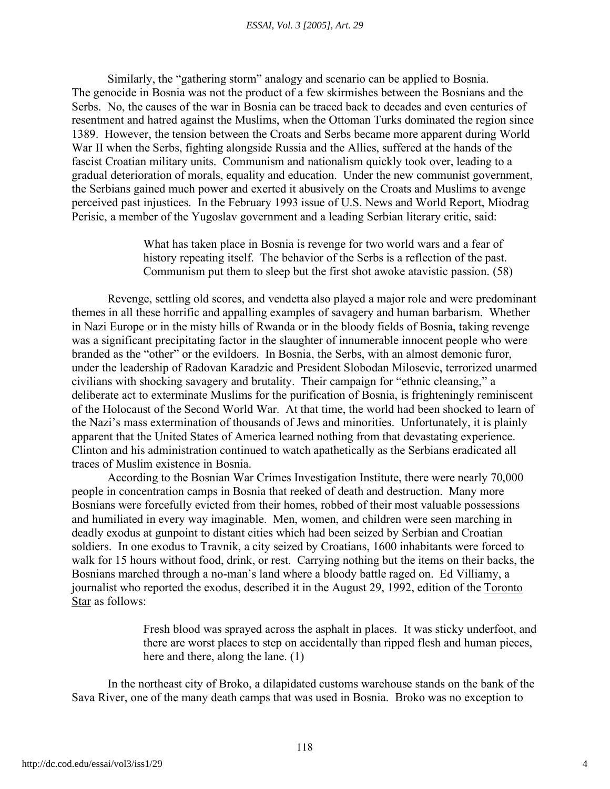Similarly, the "gathering storm" analogy and scenario can be applied to Bosnia. The genocide in Bosnia was not the product of a few skirmishes between the Bosnians and the Serbs. No, the causes of the war in Bosnia can be traced back to decades and even centuries of resentment and hatred against the Muslims, when the Ottoman Turks dominated the region since 1389. However, the tension between the Croats and Serbs became more apparent during World War II when the Serbs, fighting alongside Russia and the Allies, suffered at the hands of the fascist Croatian military units. Communism and nationalism quickly took over, leading to a gradual deterioration of morals, equality and education. Under the new communist government, the Serbians gained much power and exerted it abusively on the Croats and Muslims to avenge perceived past injustices. In the February 1993 issue of U.S. News and World Report, Miodrag Perisic, a member of the Yugoslav government and a leading Serbian literary critic, said:

> What has taken place in Bosnia is revenge for two world wars and a fear of history repeating itself. The behavior of the Serbs is a reflection of the past. Communism put them to sleep but the first shot awoke atavistic passion. (58)

Revenge, settling old scores, and vendetta also played a major role and were predominant themes in all these horrific and appalling examples of savagery and human barbarism. Whether in Nazi Europe or in the misty hills of Rwanda or in the bloody fields of Bosnia, taking revenge was a significant precipitating factor in the slaughter of innumerable innocent people who were branded as the "other" or the evildoers. In Bosnia, the Serbs, with an almost demonic furor, under the leadership of Radovan Karadzic and President Slobodan Milosevic, terrorized unarmed civilians with shocking savagery and brutality. Their campaign for "ethnic cleansing," a deliberate act to exterminate Muslims for the purification of Bosnia, is frighteningly reminiscent of the Holocaust of the Second World War. At that time, the world had been shocked to learn of the Nazi's mass extermination of thousands of Jews and minorities. Unfortunately, it is plainly apparent that the United States of America learned nothing from that devastating experience. Clinton and his administration continued to watch apathetically as the Serbians eradicated all traces of Muslim existence in Bosnia.

According to the Bosnian War Crimes Investigation Institute, there were nearly 70,000 people in concentration camps in Bosnia that reeked of death and destruction. Many more Bosnians were forcefully evicted from their homes, robbed of their most valuable possessions and humiliated in every way imaginable. Men, women, and children were seen marching in deadly exodus at gunpoint to distant cities which had been seized by Serbian and Croatian soldiers. In one exodus to Travnik, a city seized by Croatians, 1600 inhabitants were forced to walk for 15 hours without food, drink, or rest. Carrying nothing but the items on their backs, the Bosnians marched through a no-man's land where a bloody battle raged on. Ed Villiamy, a journalist who reported the exodus, described it in the August 29, 1992, edition of the Toronto Star as follows:

> Fresh blood was sprayed across the asphalt in places. It was sticky underfoot, and there are worst places to step on accidentally than ripped flesh and human pieces, here and there, along the lane. (1)

In the northeast city of Broko, a dilapidated customs warehouse stands on the bank of the Sava River, one of the many death camps that was used in Bosnia. Broko was no exception to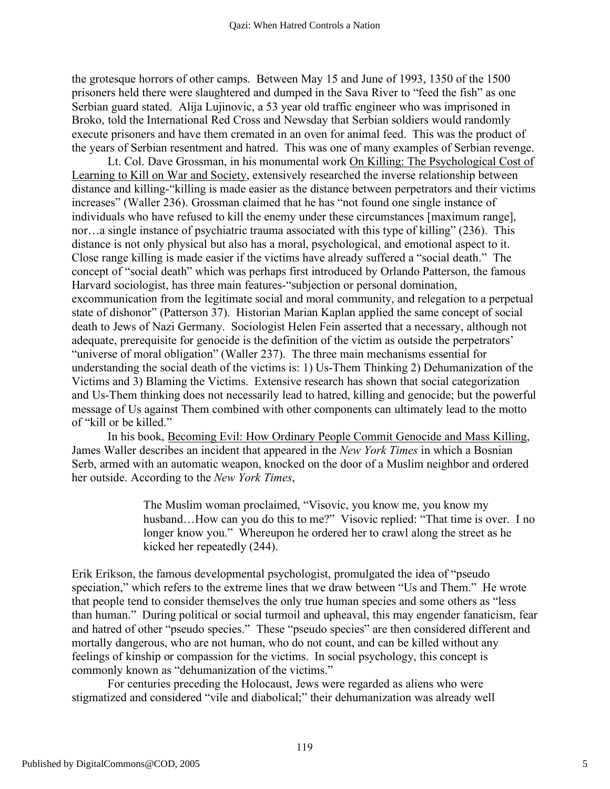the grotesque horrors of other camps. Between May 15 and June of 1993, 1350 of the 1500 prisoners held there were slaughtered and dumped in the Sava River to "feed the fish" as one Serbian guard stated. Alija Lujinovic, a 53 year old traffic engineer who was imprisoned in Broko, told the International Red Cross and Newsday that Serbian soldiers would randomly execute prisoners and have them cremated in an oven for animal feed. This was the product of the years of Serbian resentment and hatred. This was one of many examples of Serbian revenge.

Lt. Col. Dave Grossman, in his monumental work On Killing: The Psychological Cost of Learning to Kill on War and Society, extensively researched the inverse relationship between distance and killing-"killing is made easier as the distance between perpetrators and their victims increases" (Waller 236). Grossman claimed that he has "not found one single instance of individuals who have refused to kill the enemy under these circumstances [maximum range], nor…a single instance of psychiatric trauma associated with this type of killing" (236). This distance is not only physical but also has a moral, psychological, and emotional aspect to it. Close range killing is made easier if the victims have already suffered a "social death." The concept of "social death" which was perhaps first introduced by Orlando Patterson, the famous Harvard sociologist, has three main features-"subjection or personal domination, excommunication from the legitimate social and moral community, and relegation to a perpetual state of dishonor" (Patterson 37). Historian Marian Kaplan applied the same concept of social death to Jews of Nazi Germany. Sociologist Helen Fein asserted that a necessary, although not adequate, prerequisite for genocide is the definition of the victim as outside the perpetrators' "universe of moral obligation" (Waller 237). The three main mechanisms essential for understanding the social death of the victims is: 1) Us-Them Thinking 2) Dehumanization of the Victims and 3) Blaming the Victims. Extensive research has shown that social categorization and Us-Them thinking does not necessarily lead to hatred, killing and genocide; but the powerful message of Us against Them combined with other components can ultimately lead to the motto of "kill or be killed."

In his book, Becoming Evil: How Ordinary People Commit Genocide and Mass Killing, James Waller describes an incident that appeared in the *New York Times* in which a Bosnian Serb, armed with an automatic weapon, knocked on the door of a Muslim neighbor and ordered her outside. According to the *New York Times*,

> The Muslim woman proclaimed, "Visovic, you know me, you know my husband...How can you do this to me?" Visovic replied: "That time is over. I no longer know you." Whereupon he ordered her to crawl along the street as he kicked her repeatedly (244).

Erik Erikson, the famous developmental psychologist, promulgated the idea of "pseudo speciation," which refers to the extreme lines that we draw between "Us and Them." He wrote that people tend to consider themselves the only true human species and some others as "less than human." During political or social turmoil and upheaval, this may engender fanaticism, fear and hatred of other "pseudo species." These "pseudo species" are then considered different and mortally dangerous, who are not human, who do not count, and can be killed without any feelings of kinship or compassion for the victims. In social psychology, this concept is commonly known as "dehumanization of the victims."

For centuries preceding the Holocaust, Jews were regarded as aliens who were stigmatized and considered "vile and diabolical;" their dehumanization was already well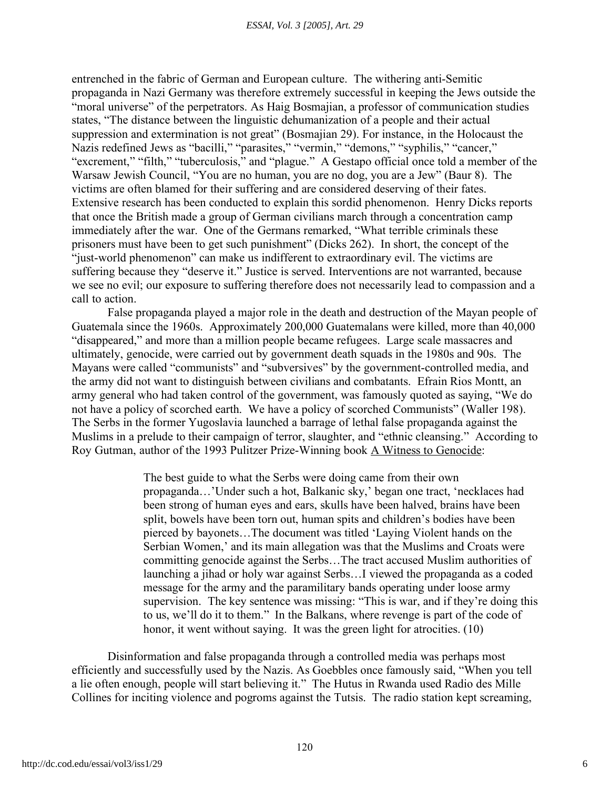entrenched in the fabric of German and European culture. The withering anti-Semitic propaganda in Nazi Germany was therefore extremely successful in keeping the Jews outside the "moral universe" of the perpetrators. As Haig Bosmajian, a professor of communication studies states, "The distance between the linguistic dehumanization of a people and their actual suppression and extermination is not great" (Bosmajian 29). For instance, in the Holocaust the Nazis redefined Jews as "bacilli," "parasites," "vermin," "demons," "syphilis," "cancer," "excrement," "filth," "tuberculosis," and "plague." A Gestapo official once told a member of the Warsaw Jewish Council, "You are no human, you are no dog, you are a Jew" (Baur 8). The victims are often blamed for their suffering and are considered deserving of their fates. Extensive research has been conducted to explain this sordid phenomenon. Henry Dicks reports that once the British made a group of German civilians march through a concentration camp immediately after the war. One of the Germans remarked, "What terrible criminals these prisoners must have been to get such punishment" (Dicks 262). In short, the concept of the "just-world phenomenon" can make us indifferent to extraordinary evil. The victims are suffering because they "deserve it." Justice is served. Interventions are not warranted, because we see no evil; our exposure to suffering therefore does not necessarily lead to compassion and a call to action.

False propaganda played a major role in the death and destruction of the Mayan people of Guatemala since the 1960s. Approximately 200,000 Guatemalans were killed, more than 40,000 "disappeared," and more than a million people became refugees. Large scale massacres and ultimately, genocide, were carried out by government death squads in the 1980s and 90s. The Mayans were called "communists" and "subversives" by the government-controlled media, and the army did not want to distinguish between civilians and combatants. Efrain Rios Montt, an army general who had taken control of the government, was famously quoted as saying, "We do not have a policy of scorched earth. We have a policy of scorched Communists" (Waller 198). The Serbs in the former Yugoslavia launched a barrage of lethal false propaganda against the Muslims in a prelude to their campaign of terror, slaughter, and "ethnic cleansing." According to Roy Gutman, author of the 1993 Pulitzer Prize-Winning book A Witness to Genocide:

> The best guide to what the Serbs were doing came from their own propaganda…'Under such a hot, Balkanic sky,' began one tract, 'necklaces had been strong of human eyes and ears, skulls have been halved, brains have been split, bowels have been torn out, human spits and children's bodies have been pierced by bayonets…The document was titled 'Laying Violent hands on the Serbian Women,' and its main allegation was that the Muslims and Croats were committing genocide against the Serbs…The tract accused Muslim authorities of launching a jihad or holy war against Serbs…I viewed the propaganda as a coded message for the army and the paramilitary bands operating under loose army supervision. The key sentence was missing: "This is war, and if they're doing this to us, we'll do it to them." In the Balkans, where revenge is part of the code of honor, it went without saying. It was the green light for atrocities. (10)

Disinformation and false propaganda through a controlled media was perhaps most efficiently and successfully used by the Nazis. As Goebbles once famously said, "When you tell a lie often enough, people will start believing it." The Hutus in Rwanda used Radio des Mille Collines for inciting violence and pogroms against the Tutsis. The radio station kept screaming,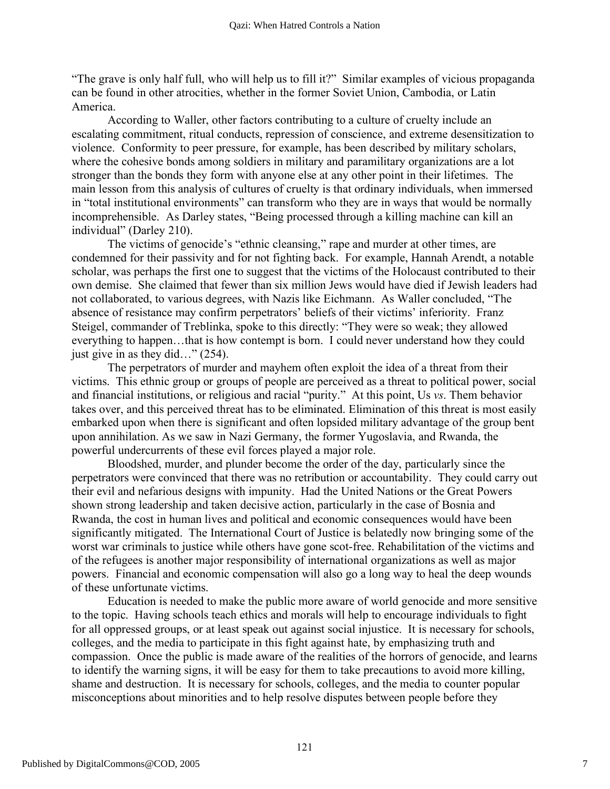"The grave is only half full, who will help us to fill it?" Similar examples of vicious propaganda can be found in other atrocities, whether in the former Soviet Union, Cambodia, or Latin America.

According to Waller, other factors contributing to a culture of cruelty include an escalating commitment, ritual conducts, repression of conscience, and extreme desensitization to violence. Conformity to peer pressure, for example, has been described by military scholars, where the cohesive bonds among soldiers in military and paramilitary organizations are a lot stronger than the bonds they form with anyone else at any other point in their lifetimes. The main lesson from this analysis of cultures of cruelty is that ordinary individuals, when immersed in "total institutional environments" can transform who they are in ways that would be normally incomprehensible. As Darley states, "Being processed through a killing machine can kill an individual" (Darley 210).

The victims of genocide's "ethnic cleansing," rape and murder at other times, are condemned for their passivity and for not fighting back. For example, Hannah Arendt, a notable scholar, was perhaps the first one to suggest that the victims of the Holocaust contributed to their own demise. She claimed that fewer than six million Jews would have died if Jewish leaders had not collaborated, to various degrees, with Nazis like Eichmann. As Waller concluded, "The absence of resistance may confirm perpetrators' beliefs of their victims' inferiority. Franz Steigel, commander of Treblinka, spoke to this directly: "They were so weak; they allowed everything to happen…that is how contempt is born. I could never understand how they could just give in as they did…" (254).

The perpetrators of murder and mayhem often exploit the idea of a threat from their victims. This ethnic group or groups of people are perceived as a threat to political power, social and financial institutions, or religious and racial "purity." At this point, Us *vs*. Them behavior takes over, and this perceived threat has to be eliminated. Elimination of this threat is most easily embarked upon when there is significant and often lopsided military advantage of the group bent upon annihilation. As we saw in Nazi Germany, the former Yugoslavia, and Rwanda, the powerful undercurrents of these evil forces played a major role.

Bloodshed, murder, and plunder become the order of the day, particularly since the perpetrators were convinced that there was no retribution or accountability. They could carry out their evil and nefarious designs with impunity. Had the United Nations or the Great Powers shown strong leadership and taken decisive action, particularly in the case of Bosnia and Rwanda, the cost in human lives and political and economic consequences would have been significantly mitigated. The International Court of Justice is belatedly now bringing some of the worst war criminals to justice while others have gone scot-free. Rehabilitation of the victims and of the refugees is another major responsibility of international organizations as well as major powers. Financial and economic compensation will also go a long way to heal the deep wounds of these unfortunate victims.

Education is needed to make the public more aware of world genocide and more sensitive to the topic. Having schools teach ethics and morals will help to encourage individuals to fight for all oppressed groups, or at least speak out against social injustice. It is necessary for schools, colleges, and the media to participate in this fight against hate, by emphasizing truth and compassion. Once the public is made aware of the realities of the horrors of genocide, and learns to identify the warning signs, it will be easy for them to take precautions to avoid more killing, shame and destruction. It is necessary for schools, colleges, and the media to counter popular misconceptions about minorities and to help resolve disputes between people before they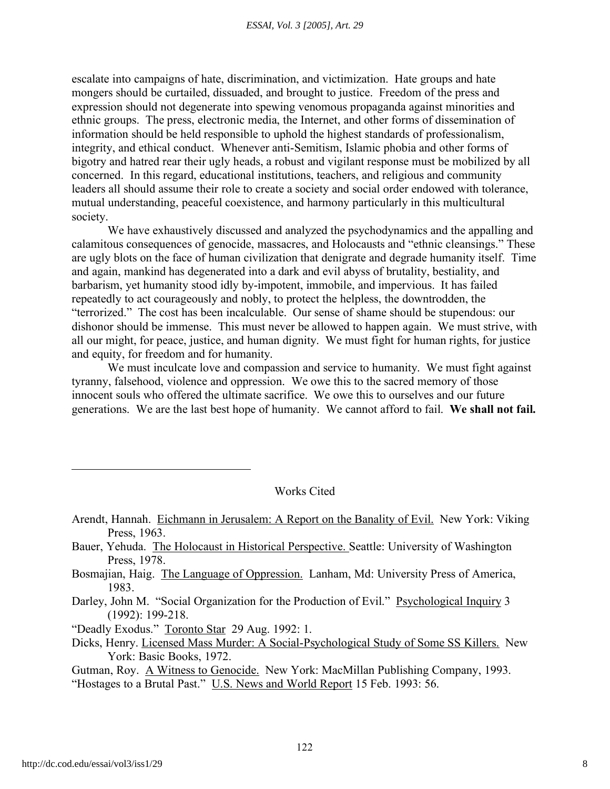escalate into campaigns of hate, discrimination, and victimization. Hate groups and hate mongers should be curtailed, dissuaded, and brought to justice. Freedom of the press and expression should not degenerate into spewing venomous propaganda against minorities and ethnic groups. The press, electronic media, the Internet, and other forms of dissemination of information should be held responsible to uphold the highest standards of professionalism, integrity, and ethical conduct. Whenever anti-Semitism, Islamic phobia and other forms of bigotry and hatred rear their ugly heads, a robust and vigilant response must be mobilized by all concerned. In this regard, educational institutions, teachers, and religious and community leaders all should assume their role to create a society and social order endowed with tolerance, mutual understanding, peaceful coexistence, and harmony particularly in this multicultural society.

We have exhaustively discussed and analyzed the psychodynamics and the appalling and calamitous consequences of genocide, massacres, and Holocausts and "ethnic cleansings." These are ugly blots on the face of human civilization that denigrate and degrade humanity itself. Time and again, mankind has degenerated into a dark and evil abyss of brutality, bestiality, and barbarism, yet humanity stood idly by-impotent, immobile, and impervious. It has failed repeatedly to act courageously and nobly, to protect the helpless, the downtrodden, the "terrorized." The cost has been incalculable. Our sense of shame should be stupendous: our dishonor should be immense. This must never be allowed to happen again. We must strive, with all our might, for peace, justice, and human dignity. We must fight for human rights, for justice and equity, for freedom and for humanity.

We must inculcate love and compassion and service to humanity. We must fight against tyranny, falsehood, violence and oppression. We owe this to the sacred memory of those innocent souls who offered the ultimate sacrifice. We owe this to ourselves and our future generations. We are the last best hope of humanity. We cannot afford to fail. **We shall not fail.**

Works Cited

- Arendt, Hannah. Eichmann in Jerusalem: A Report on the Banality of Evil. New York: Viking Press, 1963.
- Bauer, Yehuda. The Holocaust in Historical Perspective. Seattle: University of Washington Press, 1978.
- Bosmajian, Haig. The Language of Oppression. Lanham, Md: University Press of America, 1983.
- Darley, John M. "Social Organization for the Production of Evil." Psychological Inquiry 3 (1992): 199-218.

"Deadly Exodus." Toronto Star 29 Aug. 1992: 1.

Dicks, Henry. Licensed Mass Murder: A Social-Psychological Study of Some SS Killers. New York: Basic Books, 1972.

Gutman, Roy. A Witness to Genocide. New York: MacMillan Publishing Company, 1993. "Hostages to a Brutal Past." U.S. News and World Report 15 Feb. 1993: 56.